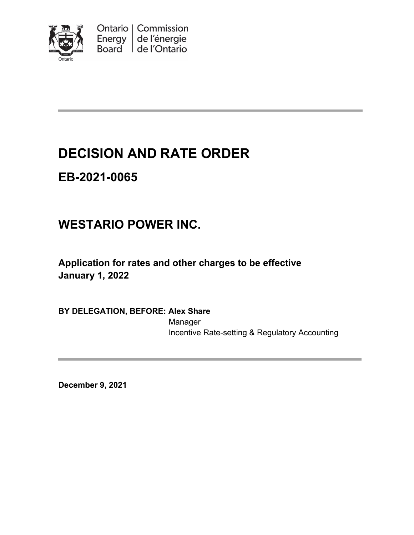

Ontario | Commission Energy de l'énergie Board de l'Ontario

# **DECISION AND RATE ORDER**

# **EB-2021-0065**

# **WESTARIO POWER INC.**

**Application for rates and other charges to be effective January 1, 2022**

**BY DELEGATION, BEFORE: Alex Share**

Manager Incentive Rate-setting & Regulatory Accounting

**December 9, 2021**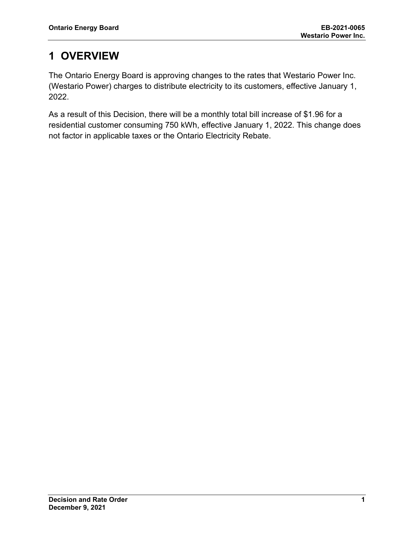## **1 OVERVIEW**

The Ontario Energy Board is approving changes to the rates that Westario Power Inc. (Westario Power) charges to distribute electricity to its customers, effective January 1, 2022.

As a result of this Decision, there will be a monthly total bill increase of \$1.96 for a residential customer consuming 750 kWh, effective January 1, 2022. This change does not factor in applicable taxes or the Ontario Electricity Rebate.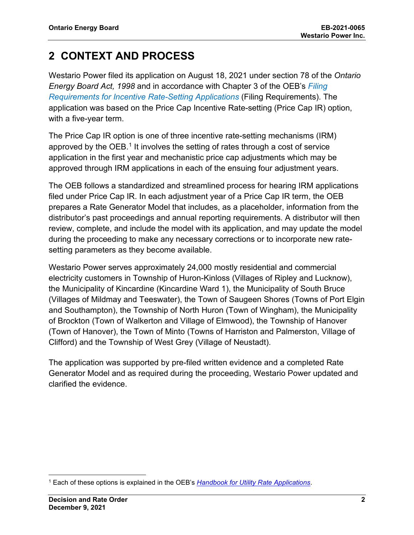## **2 CONTEXT AND PROCESS**

Westario Power filed its application on August 18, 2021 under section 78 of the *Ontario Energy Board Act, 1998* and in accordance with Chapter 3 of the OEB's *[Filing](https://www.oeb.ca/sites/default/files/Chapter-3-Filing-Requirements-20200514.pdf)  [Requirements for Incentive Rate-Setting Applications](https://www.oeb.ca/sites/default/files/Chapter-3-Filing-Requirements-20200514.pdf)* (Filing Requirements). The application was based on the Price Cap Incentive Rate-setting (Price Cap IR) option, with a five-year term.

The Price Cap IR option is one of three incentive rate-setting mechanisms (IRM) approved by the OEB.<sup>[1](#page-2-0)</sup> It involves the setting of rates through a cost of service application in the first year and mechanistic price cap adjustments which may be approved through IRM applications in each of the ensuing four adjustment years.

The OEB follows a standardized and streamlined process for hearing IRM applications filed under Price Cap IR. In each adjustment year of a Price Cap IR term, the OEB prepares a Rate Generator Model that includes, as a placeholder, information from the distributor's past proceedings and annual reporting requirements. A distributor will then review, complete, and include the model with its application, and may update the model during the proceeding to make any necessary corrections or to incorporate new ratesetting parameters as they become available.

Westario Power serves approximately 24,000 mostly residential and commercial electricity customers in Township of Huron-Kinloss (Villages of Ripley and Lucknow), the Municipality of Kincardine (Kincardine Ward 1), the Municipality of South Bruce (Villages of Mildmay and Teeswater), the Town of Saugeen Shores (Towns of Port Elgin and Southampton), the Township of North Huron (Town of Wingham), the Municipality of Brockton (Town of Walkerton and Village of Elmwood), the Township of Hanover (Town of Hanover), the Town of Minto (Towns of Harriston and Palmerston, Village of Clifford) and the Township of West Grey (Village of Neustadt).

The application was supported by pre-filed written evidence and a completed Rate Generator Model and as required during the proceeding, Westario Power updated and clarified the evidence.

<span id="page-2-0"></span><sup>1</sup> Each of these options is explained in the OEB's *[Handbook for Utility Rate Applications](https://www.oeb.ca/industry/rules-codes-and-requirements/handbook-utility-rate-applications)*.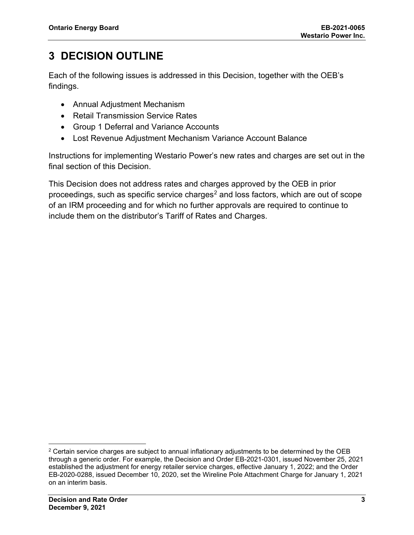## **3 DECISION OUTLINE**

Each of the following issues is addressed in this Decision, together with the OEB's findings.

- Annual Adjustment Mechanism
- Retail Transmission Service Rates
- Group 1 Deferral and Variance Accounts
- Lost Revenue Adjustment Mechanism Variance Account Balance

Instructions for implementing Westario Power's new rates and charges are set out in the final section of this Decision.

This Decision does not address rates and charges approved by the OEB in prior proceedings, such as specific service charges<sup>[2](#page-3-0)</sup> and loss factors, which are out of scope of an IRM proceeding and for which no further approvals are required to continue to include them on the distributor's Tariff of Rates and Charges.

<span id="page-3-0"></span> $2$  Certain service charges are subject to annual inflationary adjustments to be determined by the OEB through a generic order. For example, the Decision and Order EB-2021-0301, issued November 25, 2021 established the adjustment for energy retailer service charges, effective January 1, 2022; and the Order EB-2020-0288, issued December 10, 2020, set the Wireline Pole Attachment Charge for January 1, 2021 on an interim basis.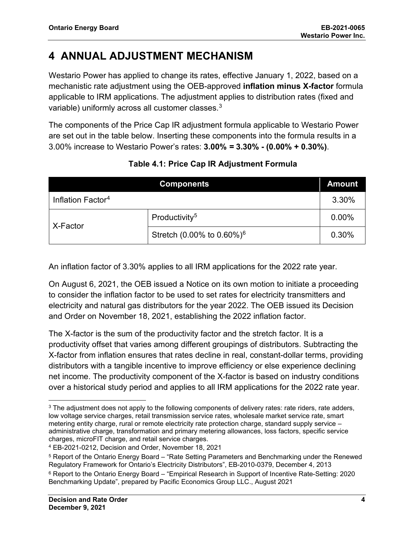## **4 ANNUAL ADJUSTMENT MECHANISM**

Westario Power has applied to change its rates, effective January 1, 2022, based on a mechanistic rate adjustment using the OEB-approved **inflation minus X-factor** formula applicable to IRM applications. The adjustment applies to distribution rates (fixed and variable) uniformly across all customer classes.<sup>[3](#page-4-0)</sup>

The components of the Price Cap IR adjustment formula applicable to Westario Power are set out in the table below. Inserting these components into the formula results in a 3.00% increase to Westario Power's rates: **3.00%** *=* **3.30% - (0.00% + 0.30%)**.

|                               | <b>Components</b>                     | <b>Amount</b> |
|-------------------------------|---------------------------------------|---------------|
| Inflation Factor <sup>4</sup> |                                       | 3.30%         |
| X-Factor                      | Productivity <sup>5</sup>             | 0.00%         |
|                               | Stretch (0.00% to 0.60%) <sup>6</sup> | 0.30%         |

### **Table 4.1: Price Cap IR Adjustment Formula**

An inflation factor of 3.30% applies to all IRM applications for the 2022 rate year.

On August 6, 2021, the OEB issued a Notice on its own motion to initiate a proceeding to consider the inflation factor to be used to set rates for electricity transmitters and electricity and natural gas distributors for the year 2022. The OEB issued its Decision and Order on November 18, 2021, establishing the 2022 inflation factor.

The X-factor is the sum of the productivity factor and the stretch factor. It is a productivity offset that varies among different groupings of distributors. Subtracting the X-factor from inflation ensures that rates decline in real, constant-dollar terms, providing distributors with a tangible incentive to improve efficiency or else experience declining net income. The productivity component of the X-factor is based on industry conditions over a historical study period and applies to all IRM applications for the 2022 rate year.

<span id="page-4-0"></span><sup>&</sup>lt;sup>3</sup> The adjustment does not apply to the following components of delivery rates: rate riders, rate adders, low voltage service charges, retail transmission service rates, wholesale market service rate, smart metering entity charge, rural or remote electricity rate protection charge, standard supply service – administrative charge, transformation and primary metering allowances, loss factors, specific service charges, microFIT charge, and retail service charges.

<span id="page-4-1"></span><sup>4</sup> EB-2021-0212, Decision and Order, November 18, 2021

<span id="page-4-2"></span><sup>5</sup> Report of the Ontario Energy Board – "Rate Setting Parameters and Benchmarking under the Renewed Regulatory Framework for Ontario's Electricity Distributors", EB-2010-0379, December 4, 2013

<span id="page-4-3"></span><sup>6</sup> Report to the Ontario Energy Board – "Empirical Research in Support of Incentive Rate-Setting: 2020 Benchmarking Update", prepared by Pacific Economics Group LLC., August 2021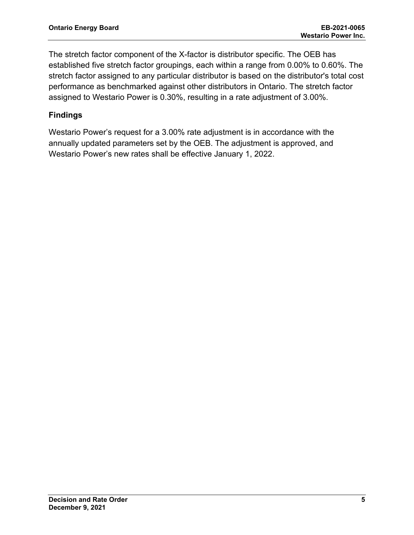The stretch factor component of the X-factor is distributor specific. The OEB has established five stretch factor groupings, each within a range from 0.00% to 0.60%. The stretch factor assigned to any particular distributor is based on the distributor's total cost performance as benchmarked against other distributors in Ontario. The stretch factor assigned to Westario Power is 0.30%, resulting in a rate adjustment of 3.00%.

### **Findings**

Westario Power's request for a 3.00% rate adjustment is in accordance with the annually updated parameters set by the OEB. The adjustment is approved, and Westario Power's new rates shall be effective January 1, 2022.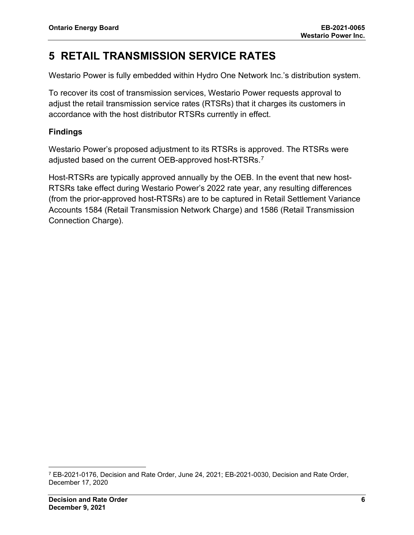## **5 RETAIL TRANSMISSION SERVICE RATES**

Westario Power is fully embedded within Hydro One Network Inc.'s distribution system.

To recover its cost of transmission services, Westario Power requests approval to adjust the retail transmission service rates (RTSRs) that it charges its customers in accordance with the host distributor RTSRs currently in effect.

### **Findings**

Westario Power's proposed adjustment to its RTSRs is approved. The RTSRs were adjusted based on the current OEB-approved host-RTSRs.<sup>[7](#page-6-0)</sup>

Host-RTSRs are typically approved annually by the OEB. In the event that new host-RTSRs take effect during Westario Power's 2022 rate year, any resulting differences (from the prior-approved host-RTSRs) are to be captured in Retail Settlement Variance Accounts 1584 (Retail Transmission Network Charge) and 1586 (Retail Transmission Connection Charge).

<span id="page-6-0"></span><sup>7</sup> EB-2021-0176, Decision and Rate Order, June 24, 2021; EB-2021-0030, Decision and Rate Order, December 17, 2020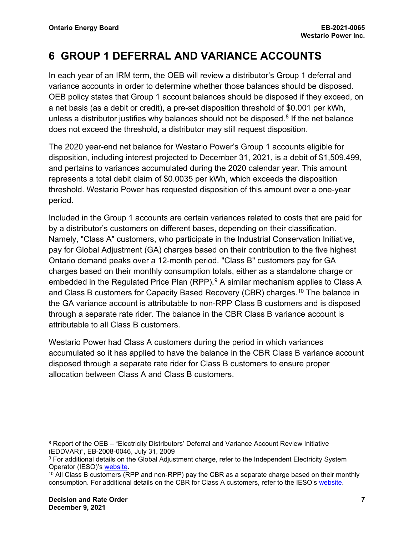## **6 GROUP 1 DEFERRAL AND VARIANCE ACCOUNTS**

In each year of an IRM term, the OEB will review a distributor's Group 1 deferral and variance accounts in order to determine whether those balances should be disposed. OEB policy states that Group 1 account balances should be disposed if they exceed, on a net basis (as a debit or credit), a pre-set disposition threshold of \$0.001 per kWh, unless a distributor justifies why balances should not be disposed.<sup>[8](#page-7-0)</sup> If the net balance does not exceed the threshold, a distributor may still request disposition.

The 2020 year-end net balance for Westario Power's Group 1 accounts eligible for disposition, including interest projected to December 31, 2021, is a debit of \$1,509,499, and pertains to variances accumulated during the 2020 calendar year. This amount represents a total debit claim of \$0.0035 per kWh, which exceeds the disposition threshold. Westario Power has requested disposition of this amount over a one-year period.

Included in the Group 1 accounts are certain variances related to costs that are paid for by a distributor's customers on different bases, depending on their classification. Namely, "Class A" customers, who participate in the Industrial Conservation Initiative, pay for Global Adjustment (GA) charges based on their contribution to the five highest Ontario demand peaks over a 12-month period. "Class B" customers pay for GA charges based on their monthly consumption totals, either as a standalone charge or embedded in the Regulated Price Plan (RPP).<sup>[9](#page-7-1)</sup> A similar mechanism applies to Class A and Class B customers for Capacity Based Recovery (CBR) charges.[10](#page-7-2) The balance in the GA variance account is attributable to non-RPP Class B customers and is disposed through a separate rate rider. The balance in the CBR Class B variance account is attributable to all Class B customers.

Westario Power had Class A customers during the period in which variances accumulated so it has applied to have the balance in the CBR Class B variance account disposed through a separate rate rider for Class B customers to ensure proper allocation between Class A and Class B customers.

<span id="page-7-0"></span><sup>&</sup>lt;sup>8</sup> Report of the OEB – "Electricity Distributors' Deferral and Variance Account Review Initiative (EDDVAR)", EB-2008-0046, July 31, 2009

<span id="page-7-1"></span> $9$  For additional details on the Global Adjustment charge, refer to the Independent Electricity System Operator (IESO)'s [website.](https://www.ieso.ca/en/Power-Data/Price-Overview/Global-Adjustment)

<span id="page-7-2"></span><sup>&</sup>lt;sup>10</sup> All Class B customers (RPP and non-RPP) pay the CBR as a separate charge based on their monthly consumption. For additional details on the CBR for Class A customers, refer to the IESO's [website.](https://www.ieso.ca/en/Sector-Participants/Settlements/Capacity-Based-Recovery-Amount-for-Class-A)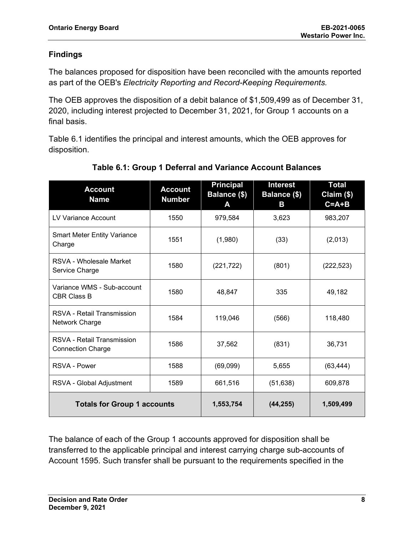### **Findings**

The balances proposed for disposition have been reconciled with the amounts reported as part of the OEB's *Electricity Reporting and Record-Keeping Requirements.*

The OEB approves the disposition of a debit balance of \$1,509,499 as of December 31, 2020, including interest projected to December 31, 2021, for Group 1 accounts on a final basis.

Table 6.1 identifies the principal and interest amounts, which the OEB approves for disposition.

| <b>Account</b><br><b>Name</b>                          | <b>Account</b><br><b>Number</b> | <b>Principal</b><br>Balance (\$)<br>A | <b>Interest</b><br>Balance (\$)<br>В | Total<br>Claim (\$)<br>$C = A + B$ |
|--------------------------------------------------------|---------------------------------|---------------------------------------|--------------------------------------|------------------------------------|
| LV Variance Account                                    | 1550                            | 979,584                               | 3,623                                | 983,207                            |
| <b>Smart Meter Entity Variance</b><br>Charge           | 1551                            | (1,980)                               | (33)                                 | (2,013)                            |
| RSVA - Wholesale Market<br>Service Charge              | 1580                            | (221, 722)                            | (801)                                | (222, 523)                         |
| Variance WMS - Sub-account<br><b>CBR Class B</b>       | 1580                            | 48,847                                | 335                                  | 49,182                             |
| <b>RSVA - Retail Transmission</b><br>Network Charge    | 1584                            | 119,046                               | (566)                                | 118,480                            |
| RSVA - Retail Transmission<br><b>Connection Charge</b> | 1586                            | 37,562                                | (831)                                | 36,731                             |
| <b>RSVA - Power</b>                                    | 1588                            | (69,099)                              | 5,655                                | (63, 444)                          |
| RSVA - Global Adjustment                               | 1589                            | 661,516                               | (51, 638)                            | 609,878                            |
| <b>Totals for Group 1 accounts</b>                     |                                 | 1,553,754                             | (44, 255)                            | 1,509,499                          |

### **Table 6.1: Group 1 Deferral and Variance Account Balances**

The balance of each of the Group 1 accounts approved for disposition shall be transferred to the applicable principal and interest carrying charge sub-accounts of Account 1595. Such transfer shall be pursuant to the requirements specified in the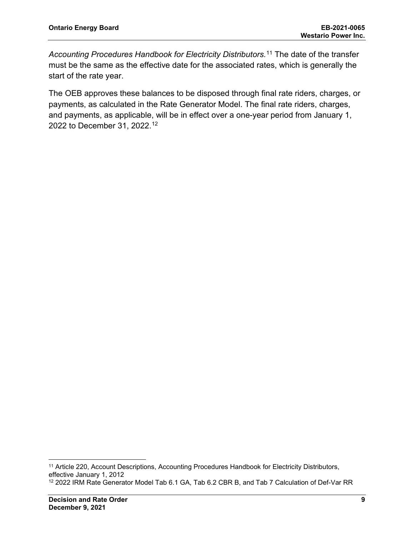*Accounting Procedures Handbook for Electricity Distributors.*[11](#page-9-0) The date of the transfer must be the same as the effective date for the associated rates, which is generally the start of the rate year.

The OEB approves these balances to be disposed through final rate riders, charges, or payments, as calculated in the Rate Generator Model. The final rate riders, charges, and payments, as applicable, will be in effect over a one-year period from January 1, 2022 to December 31, 2022. [12](#page-9-1)

<span id="page-9-0"></span><sup>&</sup>lt;sup>11</sup> Article 220, Account Descriptions, Accounting Procedures Handbook for Electricity Distributors, effective January 1, 2012

<span id="page-9-1"></span><sup>12</sup> 2022 IRM Rate Generator Model Tab 6.1 GA, Tab 6.2 CBR B, and Tab 7 Calculation of Def-Var RR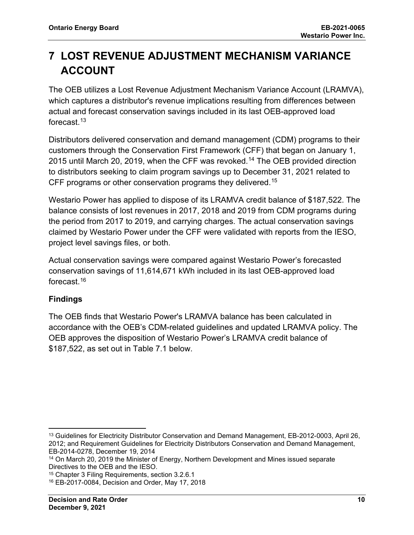## **7 LOST REVENUE ADJUSTMENT MECHANISM VARIANCE ACCOUNT**

The OEB utilizes a Lost Revenue Adjustment Mechanism Variance Account (LRAMVA), which captures a distributor's revenue implications resulting from differences between actual and forecast conservation savings included in its last OEB-approved load forecast $13$ 

Distributors delivered conservation and demand management (CDM) programs to their customers through the Conservation First Framework (CFF) that began on January 1, 2015 until March 20, 2019, when the CFF was revoked.[14](#page-10-1) The OEB provided direction to distributors seeking to claim program savings up to December 31, 2021 related to CFF programs or other conservation programs they delivered.<sup>[15](#page-10-2)</sup>

Westario Power has applied to dispose of its LRAMVA credit balance of \$187,522. The balance consists of lost revenues in 2017, 2018 and 2019 from CDM programs during the period from 2017 to 2019, and carrying charges. The actual conservation savings claimed by Westario Power under the CFF were validated with reports from the IESO, project level savings files, or both.

Actual conservation savings were compared against Westario Power's forecasted conservation savings of 11,614,671 kWh included in its last OEB-approved load forecast.[16](#page-10-3)

### **Findings**

The OEB finds that Westario Power's LRAMVA balance has been calculated in accordance with the OEB's CDM-related guidelines and updated LRAMVA policy. The OEB approves the disposition of Westario Power's LRAMVA credit balance of \$187,522, as set out in Table 7.1 below.

<span id="page-10-0"></span><sup>13</sup> Guidelines for Electricity Distributor Conservation and Demand Management, EB-2012-0003, April 26, 2012; and Requirement Guidelines for Electricity Distributors Conservation and Demand Management, EB-2014-0278, December 19, 2014

<span id="page-10-1"></span><sup>14</sup> On March 20, 2019 the Minister of Energy, Northern Development and Mines issued separate Directives to the OEB and the IESO.

<span id="page-10-2"></span><sup>15</sup> Chapter 3 Filing Requirements, section 3.2.6.1

<span id="page-10-3"></span><sup>16</sup> EB-2017-0084, Decision and Order, May 17, 2018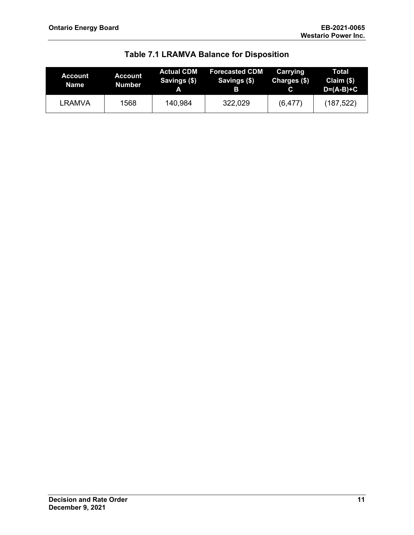| Account<br>Name | Account<br>Number | <b>Actual CDM</b><br>Savings (\$)<br>A | <b>Forecasted CDM</b><br>Savings (\$)<br>в | Carrying<br>Charges (\$)<br>C. | Total<br>Claim $($)$<br>$D=(A-B)+C$ |
|-----------------|-------------------|----------------------------------------|--------------------------------------------|--------------------------------|-------------------------------------|
| LRAMVA          | 1568              | 140,984                                | 322,029                                    | (6, 477)                       | (187, 522)                          |

**Table 7.1 LRAMVA Balance for Disposition**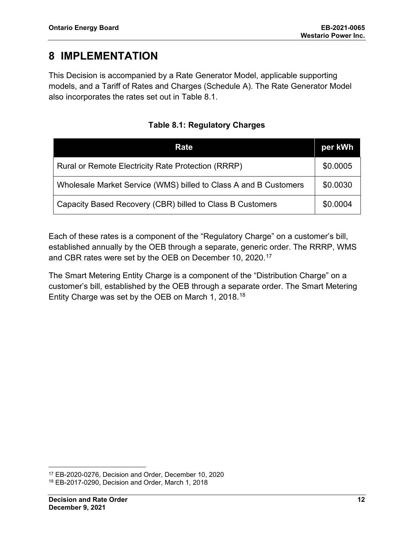## **8 IMPLEMENTATION**

This Decision is accompanied by a Rate Generator Model, applicable supporting models, and a Tariff of Rates and Charges (Schedule A). The Rate Generator Model also incorporates the rates set out in Table 8.1.

| Rate                                                             | per kWh  |
|------------------------------------------------------------------|----------|
| Rural or Remote Electricity Rate Protection (RRRP)               | \$0.0005 |
| Wholesale Market Service (WMS) billed to Class A and B Customers | \$0.0030 |
| Capacity Based Recovery (CBR) billed to Class B Customers        | \$0.0004 |

### **Table 8.1: Regulatory Charges**

Each of these rates is a component of the "Regulatory Charge" on a customer's bill, established annually by the OEB through a separate, generic order. The RRRP, WMS and CBR rates were set by the OEB on December 10, 2020.[17](#page-12-0)

The Smart Metering Entity Charge is a component of the "Distribution Charge" on a customer's bill, established by the OEB through a separate order. The Smart Metering Entity Charge was set by the OEB on March 1, 2018.[18](#page-12-1)

<span id="page-12-0"></span><sup>17</sup> EB-2020-0276, Decision and Order, December 10, 2020

<span id="page-12-1"></span><sup>18</sup> EB-2017-0290, Decision and Order, March 1, 2018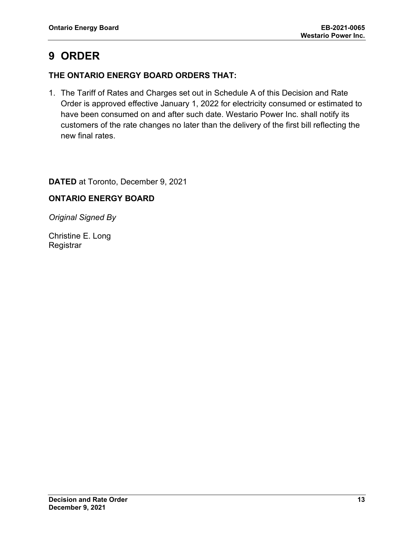## **9 ORDER**

### **THE ONTARIO ENERGY BOARD ORDERS THAT:**

1. The Tariff of Rates and Charges set out in Schedule A of this Decision and Rate Order is approved effective January 1, 2022 for electricity consumed or estimated to have been consumed on and after such date. Westario Power Inc. shall notify its customers of the rate changes no later than the delivery of the first bill reflecting the new final rates.

**DATED** at Toronto, December 9, 2021

### **ONTARIO ENERGY BOARD**

*Original Signed By*

Christine E. Long **Registrar**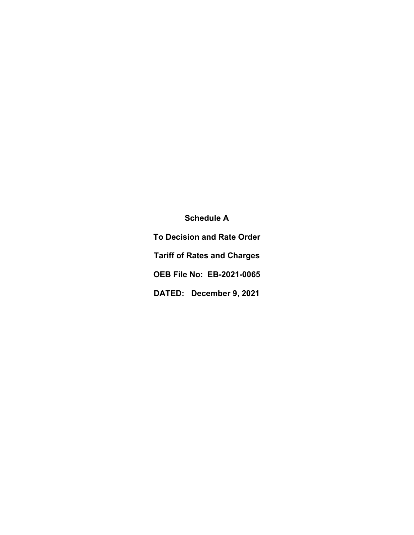**Schedule A To Decision and Rate Order Tariff of Rates and Charges OEB File No: EB-2021-0065 DATED: December 9, 2021**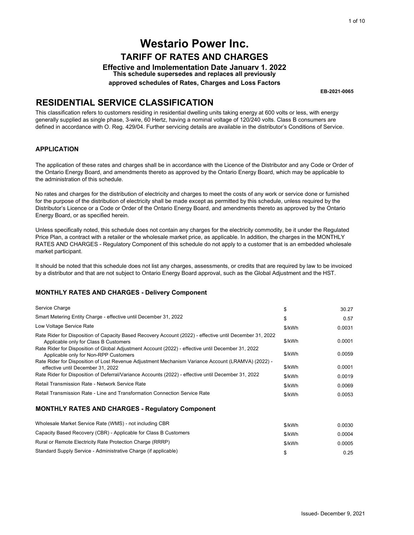### **RESIDENTIAL SERVICE CLASSIFICATION**

#### **APPLICATION**

#### **MONTHLY RATES AND CHARGES - Delivery Component**

|                                                                                                                                                                                                                                                                                                                                                                                                                                      |                  | 1 of 10                  |
|--------------------------------------------------------------------------------------------------------------------------------------------------------------------------------------------------------------------------------------------------------------------------------------------------------------------------------------------------------------------------------------------------------------------------------------|------------------|--------------------------|
| <b>Westario Power Inc.</b>                                                                                                                                                                                                                                                                                                                                                                                                           |                  |                          |
|                                                                                                                                                                                                                                                                                                                                                                                                                                      |                  |                          |
| <b>TARIFF OF RATES AND CHARGES</b>                                                                                                                                                                                                                                                                                                                                                                                                   |                  |                          |
| <b>Effective and Implementation Date January 1. 2022</b><br>This schedule supersedes and replaces all previously                                                                                                                                                                                                                                                                                                                     |                  |                          |
| approved schedules of Rates, Charges and Loss Factors                                                                                                                                                                                                                                                                                                                                                                                |                  |                          |
|                                                                                                                                                                                                                                                                                                                                                                                                                                      |                  | EB-2021-0065             |
| <b>RESIDENTIAL SERVICE CLASSIFICATION</b>                                                                                                                                                                                                                                                                                                                                                                                            |                  |                          |
| This classification refers to customers residing in residential dwelling units taking energy at 600 volts or less, with energy<br>generally supplied as single phase, 3-wire, 60 Hertz, having a nominal voltage of 120/240 volts. Class B consumers are<br>defined in accordance with O. Reg. 429/04. Further servicing details are available in the distributor's Conditions of Service.                                           |                  |                          |
| <b>APPLICATION</b>                                                                                                                                                                                                                                                                                                                                                                                                                   |                  |                          |
| The application of these rates and charges shall be in accordance with the Licence of the Distributor and any Code or Order of<br>the Ontario Energy Board, and amendments thereto as approved by the Ontario Energy Board, which may be applicable to<br>the administration of this schedule.                                                                                                                                       |                  |                          |
| No rates and charges for the distribution of electricity and charges to meet the costs of any work or service done or furnished<br>for the purpose of the distribution of electricity shall be made except as permitted by this schedule, unless required by the<br>Distributor's Licence or a Code or Order of the Ontario Energy Board, and amendments thereto as approved by the Ontario<br>Energy Board, or as specified herein. |                  |                          |
| Unless specifically noted, this schedule does not contain any charges for the electricity commodity, be it under the Regulated<br>Price Plan, a contract with a retailer or the wholesale market price, as applicable. In addition, the charges in the MONTHLY<br>RATES AND CHARGES - Regulatory Component of this schedule do not apply to a customer that is an embedded wholesale<br>market participant.                          |                  |                          |
| It should be noted that this schedule does not list any charges, assessments, or credits that are required by law to be invoiced<br>by a distributor and that are not subject to Ontario Energy Board approval, such as the Global Adjustment and the HST.                                                                                                                                                                           |                  |                          |
| <b>MONTHLY RATES AND CHARGES - Delivery Component</b>                                                                                                                                                                                                                                                                                                                                                                                |                  |                          |
| Service Charge                                                                                                                                                                                                                                                                                                                                                                                                                       | \$               | 30.27                    |
| Smart Metering Entity Charge - effective until December 31, 2022                                                                                                                                                                                                                                                                                                                                                                     | \$               | 0.57                     |
| Low Voltage Service Rate                                                                                                                                                                                                                                                                                                                                                                                                             | \$/kWh           | 0.0031                   |
| Rate Rider for Disposition of Capacity Based Recovery Account (2022) - effective until December 31, 2022                                                                                                                                                                                                                                                                                                                             |                  |                          |
| Applicable only for Class B Customers                                                                                                                                                                                                                                                                                                                                                                                                | \$/kWh           | 0.0001                   |
| Rate Rider for Disposition of Global Adjustment Account (2022) - effective until December 31, 2022<br>Applicable only for Non-RPP Customers                                                                                                                                                                                                                                                                                          | \$/kWh           | 0.0059                   |
| - Rate Rider for Disposition of Lost Revenue Adjustment Mechanism Variance Account (LRAMVA) (2022)                                                                                                                                                                                                                                                                                                                                   |                  |                          |
| effective until December 31, 2022<br>Rate Rider for Disposition of Deferral/Variance Accounts (2022) - effective until December 31, 2022                                                                                                                                                                                                                                                                                             | \$/kWh           | 0.0001                   |
| Retail Transmission Rate - Network Service Rate                                                                                                                                                                                                                                                                                                                                                                                      | \$/kWh           | 0.0019                   |
| Retail Transmission Rate - Line and Transformation Connection Service Rate                                                                                                                                                                                                                                                                                                                                                           | \$/kWh<br>\$/kWh | 0.0069<br>0.0053         |
|                                                                                                                                                                                                                                                                                                                                                                                                                                      |                  |                          |
| <b>MONTHLY RATES AND CHARGES - Regulatory Component</b>                                                                                                                                                                                                                                                                                                                                                                              |                  |                          |
| Wholesale Market Service Rate (WMS) - not including CBR                                                                                                                                                                                                                                                                                                                                                                              | \$/kWh           | 0.0030                   |
| Capacity Based Recovery (CBR) - Applicable for Class B Customers                                                                                                                                                                                                                                                                                                                                                                     | \$/kWh           | 0.0004                   |
| Rural or Remote Electricity Rate Protection Charge (RRRP)                                                                                                                                                                                                                                                                                                                                                                            | \$/kWh           | 0.0005                   |
| Standard Supply Service - Administrative Charge (if applicable)                                                                                                                                                                                                                                                                                                                                                                      | \$               | 0.25                     |
|                                                                                                                                                                                                                                                                                                                                                                                                                                      |                  |                          |
|                                                                                                                                                                                                                                                                                                                                                                                                                                      |                  |                          |
|                                                                                                                                                                                                                                                                                                                                                                                                                                      |                  |                          |
|                                                                                                                                                                                                                                                                                                                                                                                                                                      |                  |                          |
|                                                                                                                                                                                                                                                                                                                                                                                                                                      |                  | Issued- December 9, 2021 |

| Wholesale Market Service Rate (WMS) - not including CBR          | \$/kWh | 0.0030 |
|------------------------------------------------------------------|--------|--------|
| Capacity Based Recovery (CBR) - Applicable for Class B Customers | \$/kWh | 0.0004 |
| Rural or Remote Electricity Rate Protection Charge (RRRP)        | \$/kWh | 0.0005 |
| Standard Supply Service - Administrative Charge (if applicable)  |        | 0.25   |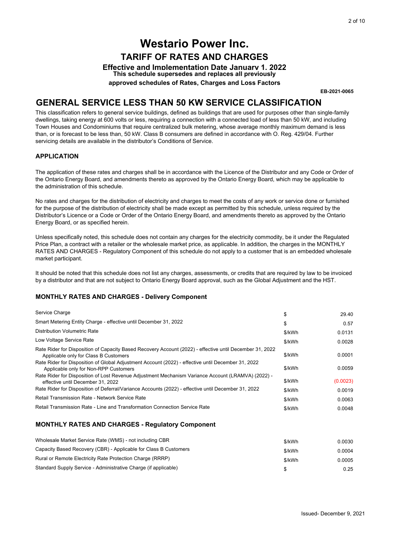### **GENERAL SERVICE LESS THAN 50 KW SERVICE CLASSIFICATION**

#### **APPLICATION**

#### **MONTHLY RATES AND CHARGES - Delivery Component**

|                                                                                                                                                                                                                                                                                                                                                                                                                                                                                                                                                                                                 |        | 2 of 10                  |
|-------------------------------------------------------------------------------------------------------------------------------------------------------------------------------------------------------------------------------------------------------------------------------------------------------------------------------------------------------------------------------------------------------------------------------------------------------------------------------------------------------------------------------------------------------------------------------------------------|--------|--------------------------|
|                                                                                                                                                                                                                                                                                                                                                                                                                                                                                                                                                                                                 |        |                          |
| <b>Westario Power Inc.</b>                                                                                                                                                                                                                                                                                                                                                                                                                                                                                                                                                                      |        |                          |
| <b>TARIFF OF RATES AND CHARGES</b>                                                                                                                                                                                                                                                                                                                                                                                                                                                                                                                                                              |        |                          |
| <b>Effective and Implementation Date January 1. 2022</b>                                                                                                                                                                                                                                                                                                                                                                                                                                                                                                                                        |        |                          |
| This schedule supersedes and replaces all previously                                                                                                                                                                                                                                                                                                                                                                                                                                                                                                                                            |        |                          |
| approved schedules of Rates, Charges and Loss Factors                                                                                                                                                                                                                                                                                                                                                                                                                                                                                                                                           |        |                          |
|                                                                                                                                                                                                                                                                                                                                                                                                                                                                                                                                                                                                 |        | EB-2021-0065             |
| <b>GENERAL SERVICE LESS THAN 50 KW SERVICE CLASSIFICATION</b>                                                                                                                                                                                                                                                                                                                                                                                                                                                                                                                                   |        |                          |
| This classification refers to general service buildings, defined as buildings that are used for purposes other than single-family<br>dwellings, taking energy at 600 volts or less, requiring a connection with a connected load of less than 50 kW, and including<br>Town Houses and Condominiums that require centralized bulk metering, whose average monthly maximum demand is less<br>than, or is forecast to be less than, 50 kW. Class B consumers are defined in accordance with O. Reg. 429/04. Further<br>servicing details are available in the distributor's Conditions of Service. |        |                          |
| <b>APPLICATION</b>                                                                                                                                                                                                                                                                                                                                                                                                                                                                                                                                                                              |        |                          |
| The application of these rates and charges shall be in accordance with the Licence of the Distributor and any Code or Order of<br>the Ontario Energy Board, and amendments thereto as approved by the Ontario Energy Board, which may be applicable to<br>the administration of this schedule.                                                                                                                                                                                                                                                                                                  |        |                          |
| No rates and charges for the distribution of electricity and charges to meet the costs of any work or service done or furnished<br>for the purpose of the distribution of electricity shall be made except as permitted by this schedule, unless required by the<br>Distributor's Licence or a Code or Order of the Ontario Energy Board, and amendments thereto as approved by the Ontario<br>Energy Board, or as specified herein.                                                                                                                                                            |        |                          |
| Unless specifically noted, this schedule does not contain any charges for the electricity commodity, be it under the Regulated<br>Price Plan, a contract with a retailer or the wholesale market price, as applicable. In addition, the charges in the MONTHLY<br>RATES AND CHARGES - Regulatory Component of this schedule do not apply to a customer that is an embedded wholesale<br>market participant.                                                                                                                                                                                     |        |                          |
| It should be noted that this schedule does not list any charges, assessments, or credits that are required by law to be invoiced<br>by a distributor and that are not subject to Ontario Energy Board approval, such as the Global Adjustment and the HST.                                                                                                                                                                                                                                                                                                                                      |        |                          |
| <b>MONTHLY RATES AND CHARGES - Delivery Component</b>                                                                                                                                                                                                                                                                                                                                                                                                                                                                                                                                           |        |                          |
| Service Charge                                                                                                                                                                                                                                                                                                                                                                                                                                                                                                                                                                                  | \$     | 29.40                    |
| Smart Metering Entity Charge - effective until December 31, 2022                                                                                                                                                                                                                                                                                                                                                                                                                                                                                                                                | \$     | 0.57                     |
| Distribution Volumetric Rate                                                                                                                                                                                                                                                                                                                                                                                                                                                                                                                                                                    | \$/kWh | 0.0131                   |
| Low Voltage Service Rate                                                                                                                                                                                                                                                                                                                                                                                                                                                                                                                                                                        | \$/kWh | 0.0028                   |
| Rate Rider for Disposition of Capacity Based Recovery Account (2022) - effective until December 31, 2022                                                                                                                                                                                                                                                                                                                                                                                                                                                                                        |        |                          |
| Applicable only for Class B Customers<br>Rate Rider for Disposition of Global Adjustment Account (2022) - effective until December 31, 2022                                                                                                                                                                                                                                                                                                                                                                                                                                                     | \$/kWh | 0.0001                   |
| Applicable only for Non-RPP Customers                                                                                                                                                                                                                                                                                                                                                                                                                                                                                                                                                           | \$/kWh | 0.0059                   |
| Rate Rider for Disposition of Lost Revenue Adjustment Mechanism Variance Account (LRAMVA) (2022) -<br>effective until December 31, 2022                                                                                                                                                                                                                                                                                                                                                                                                                                                         | \$/kWh | (0.0023)                 |
| Rate Rider for Disposition of Deferral/Variance Accounts (2022) - effective until December 31, 2022                                                                                                                                                                                                                                                                                                                                                                                                                                                                                             | \$/kWh | 0.0019                   |
| Retail Transmission Rate - Network Service Rate                                                                                                                                                                                                                                                                                                                                                                                                                                                                                                                                                 | \$/kWh | 0.0063                   |
| Retail Transmission Rate - Line and Transformation Connection Service Rate                                                                                                                                                                                                                                                                                                                                                                                                                                                                                                                      | \$/kWh | 0.0048                   |
| <b>MONTHLY RATES AND CHARGES - Regulatory Component</b>                                                                                                                                                                                                                                                                                                                                                                                                                                                                                                                                         |        |                          |
|                                                                                                                                                                                                                                                                                                                                                                                                                                                                                                                                                                                                 |        |                          |
| Wholesale Market Service Rate (WMS) - not including CBR                                                                                                                                                                                                                                                                                                                                                                                                                                                                                                                                         | \$/kWh | 0.0030                   |
| Capacity Based Recovery (CBR) - Applicable for Class B Customers                                                                                                                                                                                                                                                                                                                                                                                                                                                                                                                                | \$/kWh | 0.0004                   |
| Rural or Remote Electricity Rate Protection Charge (RRRP)                                                                                                                                                                                                                                                                                                                                                                                                                                                                                                                                       | \$/kWh | 0.0005                   |
| Standard Supply Service - Administrative Charge (if applicable)                                                                                                                                                                                                                                                                                                                                                                                                                                                                                                                                 | \$     | 0.25                     |
|                                                                                                                                                                                                                                                                                                                                                                                                                                                                                                                                                                                                 |        |                          |
|                                                                                                                                                                                                                                                                                                                                                                                                                                                                                                                                                                                                 |        |                          |
|                                                                                                                                                                                                                                                                                                                                                                                                                                                                                                                                                                                                 |        |                          |
|                                                                                                                                                                                                                                                                                                                                                                                                                                                                                                                                                                                                 |        | Issued- December 9, 2021 |

| Wholesale Market Service Rate (WMS) - not including CBR          | \$/kWh | 0.0030 |
|------------------------------------------------------------------|--------|--------|
| Capacity Based Recovery (CBR) - Applicable for Class B Customers | \$/kWh | 0.0004 |
| Rural or Remote Electricity Rate Protection Charge (RRRP)        | \$/kWh | 0.0005 |
| Standard Supply Service - Administrative Charge (if applicable)  |        | 0.25   |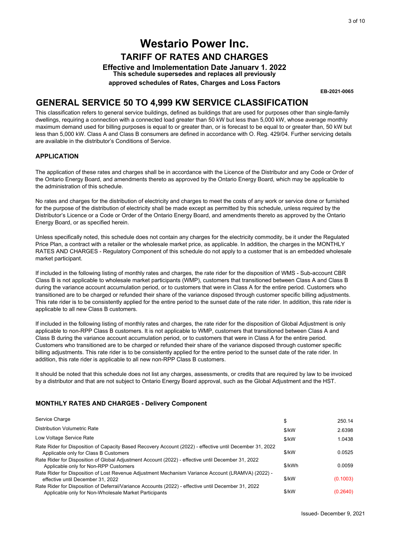### **GENERAL SERVICE 50 TO 4,999 KW SERVICE CLASSIFICATION**

#### **APPLICATION**

#### **MONTHLY RATES AND CHARGES - Delivery Component**

|                                                                                                                                                                                                                                                                                                                                                                                                                                                                                                                                                                                                                                                                                                                                      |        | 3 of 10                 |
|--------------------------------------------------------------------------------------------------------------------------------------------------------------------------------------------------------------------------------------------------------------------------------------------------------------------------------------------------------------------------------------------------------------------------------------------------------------------------------------------------------------------------------------------------------------------------------------------------------------------------------------------------------------------------------------------------------------------------------------|--------|-------------------------|
|                                                                                                                                                                                                                                                                                                                                                                                                                                                                                                                                                                                                                                                                                                                                      |        |                         |
| <b>Westario Power Inc.</b>                                                                                                                                                                                                                                                                                                                                                                                                                                                                                                                                                                                                                                                                                                           |        |                         |
| <b>TARIFF OF RATES AND CHARGES</b>                                                                                                                                                                                                                                                                                                                                                                                                                                                                                                                                                                                                                                                                                                   |        |                         |
| <b>Effective and Implementation Date January 1. 2022</b><br>This schedule supersedes and replaces all previously                                                                                                                                                                                                                                                                                                                                                                                                                                                                                                                                                                                                                     |        |                         |
| approved schedules of Rates, Charges and Loss Factors                                                                                                                                                                                                                                                                                                                                                                                                                                                                                                                                                                                                                                                                                |        |                         |
|                                                                                                                                                                                                                                                                                                                                                                                                                                                                                                                                                                                                                                                                                                                                      |        | EB-2021-0065            |
| <b>GENERAL SERVICE 50 TO 4,999 KW SERVICE CLASSIFICATION</b>                                                                                                                                                                                                                                                                                                                                                                                                                                                                                                                                                                                                                                                                         |        |                         |
| This classification refers to general service buildings, defined as buildings that are used for purposes other than single-family<br>dwellings, requiring a connection with a connected load greater than 50 kW but less than 5,000 kW, whose average monthly<br>maximum demand used for billing purposes is equal to or greater than, or is forecast to be equal to or greater than, 50 kW but<br>less than 5,000 kW. Class A and Class B consumers are defined in accordance with O. Reg. 429/04. Further servicing details<br>are available in the distributor's Conditions of Service.                                                                                                                                           |        |                         |
| <b>APPLICATION</b>                                                                                                                                                                                                                                                                                                                                                                                                                                                                                                                                                                                                                                                                                                                   |        |                         |
| The application of these rates and charges shall be in accordance with the Licence of the Distributor and any Code or Order of<br>the Ontario Energy Board, and amendments thereto as approved by the Ontario Energy Board, which may be applicable to<br>the administration of this schedule.                                                                                                                                                                                                                                                                                                                                                                                                                                       |        |                         |
| No rates and charges for the distribution of electricity and charges to meet the costs of any work or service done or furnished<br>for the purpose of the distribution of electricity shall be made except as permitted by this schedule, unless required by the<br>Distributor's Licence or a Code or Order of the Ontario Energy Board, and amendments thereto as approved by the Ontario<br>Energy Board, or as specified herein.                                                                                                                                                                                                                                                                                                 |        |                         |
| Unless specifically noted, this schedule does not contain any charges for the electricity commodity, be it under the Regulated<br>Price Plan, a contract with a retailer or the wholesale market price, as applicable. In addition, the charges in the MONTHLY<br>RATES AND CHARGES - Regulatory Component of this schedule do not apply to a customer that is an embedded wholesale<br>market participant.                                                                                                                                                                                                                                                                                                                          |        |                         |
| If included in the following listing of monthly rates and charges, the rate rider for the disposition of WMS - Sub-account CBR<br>Class B is not applicable to wholesale market participants (WMP), customers that transitioned between Class A and Class B<br>during the variance account accumulation period, or to customers that were in Class A for the entire period. Customers who<br>transitioned are to be charged or refunded their share of the variance disposed through customer specific billing adjustments.<br>This rate rider is to be consistently applied for the entire period to the sunset date of the rate rider. In addition, this rate rider is<br>applicable to all new Class B customers.                 |        |                         |
| If included in the following listing of monthly rates and charges, the rate rider for the disposition of Global Adjustment is only<br>applicable to non-RPP Class B customers. It is not applicable to WMP, customers that transitioned between Class A and<br>Class B during the variance account accumulation period, or to customers that were in Class A for the entire period.<br>Customers who transitioned are to be charged or refunded their share of the variance disposed through customer specific<br>billing adjustments. This rate rider is to be consistently applied for the entire period to the sunset date of the rate rider. In<br>addition, this rate rider is applicable to all new non-RPP Class B customers. |        |                         |
| It should be noted that this schedule does not list any charges, assessments, or credits that are required by law to be invoiced<br>by a distributor and that are not subject to Ontario Energy Board approval, such as the Global Adjustment and the HST.                                                                                                                                                                                                                                                                                                                                                                                                                                                                           |        |                         |
| <b>MONTHLY RATES AND CHARGES - Delivery Component</b>                                                                                                                                                                                                                                                                                                                                                                                                                                                                                                                                                                                                                                                                                |        |                         |
| Service Charge                                                                                                                                                                                                                                                                                                                                                                                                                                                                                                                                                                                                                                                                                                                       | \$     | 250.14                  |
| <b>Distribution Volumetric Rate</b>                                                                                                                                                                                                                                                                                                                                                                                                                                                                                                                                                                                                                                                                                                  | \$/kW  | 2.6398                  |
| Low Voltage Service Rate                                                                                                                                                                                                                                                                                                                                                                                                                                                                                                                                                                                                                                                                                                             | \$/kW  | 1.0438                  |
| Rate Rider for Disposition of Capacity Based Recovery Account (2022) - effective until December 31, 2022<br>Applicable only for Class B Customers                                                                                                                                                                                                                                                                                                                                                                                                                                                                                                                                                                                    | \$/kW  | 0.0525                  |
| Rate Rider for Disposition of Global Adjustment Account (2022) - effective until December 31, 2022                                                                                                                                                                                                                                                                                                                                                                                                                                                                                                                                                                                                                                   | \$/kWh | 0.0059                  |
| Applicable only for Non-RPP Customers<br>Rate Rider for Disposition of Lost Revenue Adjustment Mechanism Variance Account (LRAMVA) (2022) -                                                                                                                                                                                                                                                                                                                                                                                                                                                                                                                                                                                          |        |                         |
| effective until December 31, 2022                                                                                                                                                                                                                                                                                                                                                                                                                                                                                                                                                                                                                                                                                                    | \$/kW  | (0.1003)                |
| Rate Rider for Disposition of Deferral/Variance Accounts (2022) - effective until December 31, 2022<br>Applicable only for Non-Wholesale Market Participants                                                                                                                                                                                                                                                                                                                                                                                                                                                                                                                                                                         | \$/kW  | (0.2640)                |
|                                                                                                                                                                                                                                                                                                                                                                                                                                                                                                                                                                                                                                                                                                                                      |        | Issued-December 9, 2021 |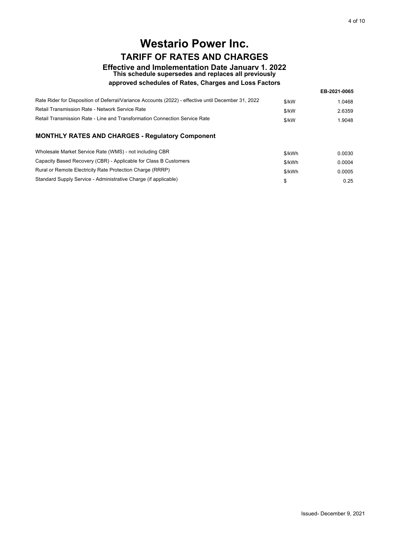## **Westario Power Inc. TARIFF OF RATES AND CHARGES**

# **Effective and Implementation Date January 1, 2022 This schedule supersedes and replaces all previously**

#### **approved schedules of Rates, Charges and Loss Factors**

| Rate Rider for Disposition of Deferral/Variance Accounts (2022) - effective until December 31, 2022 | $$$ /kW | 1.0468 |
|-----------------------------------------------------------------------------------------------------|---------|--------|
| Retail Transmission Rate - Network Service Rate                                                     | $$$ /kW | 2.6359 |
| Retail Transmission Rate - Line and Transformation Connection Service Rate                          | $$$ /kW | 1.9048 |

|                                                                                                     |        | 4 of 10                 |
|-----------------------------------------------------------------------------------------------------|--------|-------------------------|
|                                                                                                     |        |                         |
| <b>Westario Power Inc.</b>                                                                          |        |                         |
| <b>TARIFF OF RATES AND CHARGES</b>                                                                  |        |                         |
| <b>Effective and Implementation Date January 1. 2022</b>                                            |        |                         |
| This schedule supersedes and replaces all previously                                                |        |                         |
| approved schedules of Rates, Charges and Loss Factors                                               |        |                         |
|                                                                                                     |        | EB-2021-0065            |
| Rate Rider for Disposition of Deferral/Variance Accounts (2022) - effective until December 31, 2022 | \$/kW  | 1.0468                  |
| Retail Transmission Rate - Network Service Rate                                                     | \$/kW  | 2.6359                  |
| Retail Transmission Rate - Line and Transformation Connection Service Rate                          | \$/kW  | 1.9048                  |
| MONTHLY RATES AND CHARGES - Regulatory Component                                                    |        |                         |
| Wholesale Market Service Rate (WMS) - not including CBR                                             | \$/kWh | 0.0030                  |
| Capacity Based Recovery (CBR) - Applicable for Class B Customers                                    | \$/kWh | 0.0004                  |
| Rural or Remote Electricity Rate Protection Charge (RRRP)                                           | \$/kWh | 0.0005                  |
| Standard Supply Service - Administrative Charge (if applicable)                                     | \$     | 0.25                    |
|                                                                                                     |        |                         |
|                                                                                                     |        |                         |
|                                                                                                     |        |                         |
|                                                                                                     |        |                         |
|                                                                                                     |        |                         |
|                                                                                                     |        |                         |
|                                                                                                     |        |                         |
|                                                                                                     |        |                         |
|                                                                                                     |        |                         |
|                                                                                                     |        |                         |
|                                                                                                     |        |                         |
|                                                                                                     |        |                         |
|                                                                                                     |        |                         |
|                                                                                                     |        |                         |
|                                                                                                     |        |                         |
|                                                                                                     |        |                         |
|                                                                                                     |        |                         |
|                                                                                                     |        |                         |
|                                                                                                     |        |                         |
|                                                                                                     |        |                         |
|                                                                                                     |        |                         |
|                                                                                                     |        |                         |
|                                                                                                     |        |                         |
|                                                                                                     |        |                         |
|                                                                                                     |        |                         |
|                                                                                                     |        |                         |
|                                                                                                     |        |                         |
|                                                                                                     |        |                         |
|                                                                                                     |        |                         |
|                                                                                                     |        |                         |
|                                                                                                     |        |                         |
|                                                                                                     |        |                         |
|                                                                                                     |        |                         |
|                                                                                                     |        |                         |
|                                                                                                     |        | Issued-December 9, 2021 |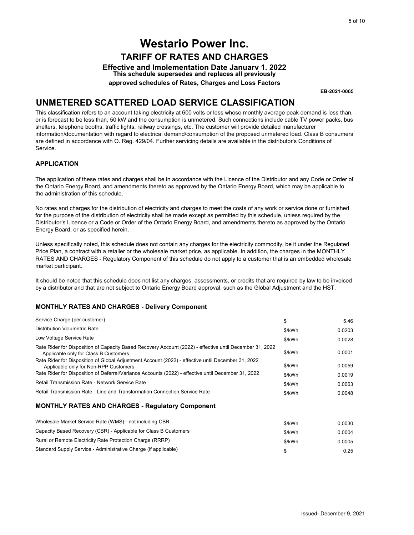### **UNMETERED SCATTERED LOAD SERVICE CLASSIFICATION**

#### **APPLICATION**

#### **MONTHLY RATES AND CHARGES - Delivery Component**

|                                                                                                                                                                                                                                                                                                                                                                                                                                                                                                                                                                                                                                                            |        | 5 of 10                 |
|------------------------------------------------------------------------------------------------------------------------------------------------------------------------------------------------------------------------------------------------------------------------------------------------------------------------------------------------------------------------------------------------------------------------------------------------------------------------------------------------------------------------------------------------------------------------------------------------------------------------------------------------------------|--------|-------------------------|
| <b>Westario Power Inc.</b>                                                                                                                                                                                                                                                                                                                                                                                                                                                                                                                                                                                                                                 |        |                         |
|                                                                                                                                                                                                                                                                                                                                                                                                                                                                                                                                                                                                                                                            |        |                         |
| <b>TARIFF OF RATES AND CHARGES</b>                                                                                                                                                                                                                                                                                                                                                                                                                                                                                                                                                                                                                         |        |                         |
| <b>Effective and Implementation Date January 1. 2022</b><br>This schedule supersedes and replaces all previously                                                                                                                                                                                                                                                                                                                                                                                                                                                                                                                                           |        |                         |
| approved schedules of Rates, Charges and Loss Factors                                                                                                                                                                                                                                                                                                                                                                                                                                                                                                                                                                                                      |        |                         |
|                                                                                                                                                                                                                                                                                                                                                                                                                                                                                                                                                                                                                                                            |        | EB-2021-0065            |
|                                                                                                                                                                                                                                                                                                                                                                                                                                                                                                                                                                                                                                                            |        |                         |
| UNMETERED SCATTERED LOAD SERVICE CLASSIFICATION                                                                                                                                                                                                                                                                                                                                                                                                                                                                                                                                                                                                            |        |                         |
| This classification refers to an account taking electricity at 600 volts or less whose monthly average peak demand is less than,<br>or is forecast to be less than, 50 kW and the consumption is unmetered. Such connections include cable TV power packs, bus<br>shelters, telephone booths, traffic lights, railway crossings, etc. The customer will provide detailed manufacturer<br>information/documentation with regard to electrical demand/consumption of the proposed unmetered load. Class B consumers<br>are defined in accordance with O. Reg. 429/04. Further servicing details are available in the distributor's Conditions of<br>Service. |        |                         |
| <b>APPLICATION</b>                                                                                                                                                                                                                                                                                                                                                                                                                                                                                                                                                                                                                                         |        |                         |
| The application of these rates and charges shall be in accordance with the Licence of the Distributor and any Code or Order of<br>the Ontario Energy Board, and amendments thereto as approved by the Ontario Energy Board, which may be applicable to<br>the administration of this schedule.                                                                                                                                                                                                                                                                                                                                                             |        |                         |
| No rates and charges for the distribution of electricity and charges to meet the costs of any work or service done or furnished<br>for the purpose of the distribution of electricity shall be made except as permitted by this schedule, unless required by the<br>Distributor's Licence or a Code or Order of the Ontario Energy Board, and amendments thereto as approved by the Ontario<br>Energy Board, or as specified herein.                                                                                                                                                                                                                       |        |                         |
| Unless specifically noted, this schedule does not contain any charges for the electricity commodity, be it under the Regulated<br>Price Plan, a contract with a retailer or the wholesale market price, as applicable. In addition, the charges in the MONTHLY<br>RATES AND CHARGES - Regulatory Component of this schedule do not apply to a customer that is an embedded wholesale<br>market participant.                                                                                                                                                                                                                                                |        |                         |
| It should be noted that this schedule does not list any charges, assessments, or credits that are required by law to be invoiced<br>by a distributor and that are not subject to Ontario Energy Board approval, such as the Global Adjustment and the HST.                                                                                                                                                                                                                                                                                                                                                                                                 |        |                         |
| <b>MONTHLY RATES AND CHARGES - Delivery Component</b>                                                                                                                                                                                                                                                                                                                                                                                                                                                                                                                                                                                                      |        |                         |
| Service Charge (per customer)                                                                                                                                                                                                                                                                                                                                                                                                                                                                                                                                                                                                                              | \$     | 5.46                    |
| Distribution Volumetric Rate                                                                                                                                                                                                                                                                                                                                                                                                                                                                                                                                                                                                                               | \$/kWh | 0.0203                  |
| Low Voltage Service Rate                                                                                                                                                                                                                                                                                                                                                                                                                                                                                                                                                                                                                                   | \$/kWh | 0.0028                  |
| Rate Rider for Disposition of Capacity Based Recovery Account (2022) - effective until December 31, 2022<br>Applicable only for Class B Customers                                                                                                                                                                                                                                                                                                                                                                                                                                                                                                          | \$/kWh | 0.0001                  |
| Rate Rider for Disposition of Global Adjustment Account (2022) - effective until December 31, 2022                                                                                                                                                                                                                                                                                                                                                                                                                                                                                                                                                         |        |                         |
| Applicable only for Non-RPP Customers<br>Rate Rider for Disposition of Deferral/Variance Accounts (2022) - effective until December 31, 2022                                                                                                                                                                                                                                                                                                                                                                                                                                                                                                               | \$/kWh | 0.0059                  |
| Retail Transmission Rate - Network Service Rate                                                                                                                                                                                                                                                                                                                                                                                                                                                                                                                                                                                                            | \$/kWh | 0.0019                  |
|                                                                                                                                                                                                                                                                                                                                                                                                                                                                                                                                                                                                                                                            | \$/kWh | 0.0063                  |
| Retail Transmission Rate - Line and Transformation Connection Service Rate                                                                                                                                                                                                                                                                                                                                                                                                                                                                                                                                                                                 | \$/kWh | 0.0048                  |
| <b>MONTHLY RATES AND CHARGES - Regulatory Component</b>                                                                                                                                                                                                                                                                                                                                                                                                                                                                                                                                                                                                    |        |                         |
| Wholesale Market Service Rate (WMS) - not including CBR                                                                                                                                                                                                                                                                                                                                                                                                                                                                                                                                                                                                    | \$/kWh | 0.0030                  |
| Capacity Based Recovery (CBR) - Applicable for Class B Customers                                                                                                                                                                                                                                                                                                                                                                                                                                                                                                                                                                                           | \$/kWh | 0.0004                  |
| Rural or Remote Electricity Rate Protection Charge (RRRP)                                                                                                                                                                                                                                                                                                                                                                                                                                                                                                                                                                                                  | \$/kWh | 0.0005                  |
| Standard Supply Service - Administrative Charge (if applicable)                                                                                                                                                                                                                                                                                                                                                                                                                                                                                                                                                                                            | \$     | 0.25                    |
|                                                                                                                                                                                                                                                                                                                                                                                                                                                                                                                                                                                                                                                            |        |                         |
|                                                                                                                                                                                                                                                                                                                                                                                                                                                                                                                                                                                                                                                            |        |                         |
|                                                                                                                                                                                                                                                                                                                                                                                                                                                                                                                                                                                                                                                            |        |                         |
|                                                                                                                                                                                                                                                                                                                                                                                                                                                                                                                                                                                                                                                            |        |                         |
|                                                                                                                                                                                                                                                                                                                                                                                                                                                                                                                                                                                                                                                            |        | Issued-December 9, 2021 |

| Capacity Based Recovery (CBR) - Applicable for Class B Customers | \$/kWh | 0.0004 |
|------------------------------------------------------------------|--------|--------|
| Rural or Remote Electricity Rate Protection Charge (RRRP)        | \$/kWh | 0.0005 |
| Standard Supply Service - Administrative Charge (if applicable)  |        | 0.25   |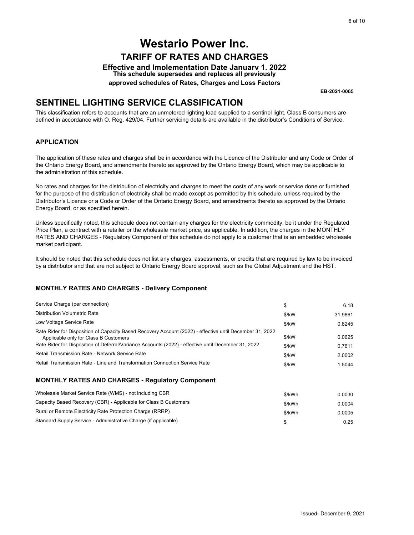### **SENTINEL LIGHTING SERVICE CLASSIFICATION**

#### **APPLICATION**

#### **MONTHLY RATES AND CHARGES - Delivery Component**

|                                                                                                                                                                                                                                                                                                                                                                                                                                      |        | 6 of 10                 |
|--------------------------------------------------------------------------------------------------------------------------------------------------------------------------------------------------------------------------------------------------------------------------------------------------------------------------------------------------------------------------------------------------------------------------------------|--------|-------------------------|
|                                                                                                                                                                                                                                                                                                                                                                                                                                      |        |                         |
| <b>Westario Power Inc.</b>                                                                                                                                                                                                                                                                                                                                                                                                           |        |                         |
| <b>TARIFF OF RATES AND CHARGES</b>                                                                                                                                                                                                                                                                                                                                                                                                   |        |                         |
| <b>Effective and Implementation Date January 1. 2022</b><br>This schedule supersedes and replaces all previously                                                                                                                                                                                                                                                                                                                     |        |                         |
| approved schedules of Rates, Charges and Loss Factors                                                                                                                                                                                                                                                                                                                                                                                |        |                         |
|                                                                                                                                                                                                                                                                                                                                                                                                                                      |        | EB-2021-0065            |
| <b>SENTINEL LIGHTING SERVICE CLASSIFICATION</b>                                                                                                                                                                                                                                                                                                                                                                                      |        |                         |
| This classification refers to accounts that are an unmetered lighting load supplied to a sentinel light. Class B consumers are<br>defined in accordance with O. Reg. 429/04. Further servicing details are available in the distributor's Conditions of Service.                                                                                                                                                                     |        |                         |
| <b>APPLICATION</b>                                                                                                                                                                                                                                                                                                                                                                                                                   |        |                         |
| The application of these rates and charges shall be in accordance with the Licence of the Distributor and any Code or Order of<br>the Ontario Energy Board, and amendments thereto as approved by the Ontario Energy Board, which may be applicable to<br>the administration of this schedule.                                                                                                                                       |        |                         |
| No rates and charges for the distribution of electricity and charges to meet the costs of any work or service done or furnished<br>for the purpose of the distribution of electricity shall be made except as permitted by this schedule, unless required by the<br>Distributor's Licence or a Code or Order of the Ontario Energy Board, and amendments thereto as approved by the Ontario<br>Energy Board, or as specified herein. |        |                         |
| Unless specifically noted, this schedule does not contain any charges for the electricity commodity, be it under the Regulated<br>Price Plan, a contract with a retailer or the wholesale market price, as applicable. In addition, the charges in the MONTHLY<br>RATES AND CHARGES - Regulatory Component of this schedule do not apply to a customer that is an embedded wholesale<br>market participant.                          |        |                         |
| It should be noted that this schedule does not list any charges, assessments, or credits that are required by law to be invoiced<br>by a distributor and that are not subject to Ontario Energy Board approval, such as the Global Adjustment and the HST.                                                                                                                                                                           |        |                         |
| <b>MONTHLY RATES AND CHARGES - Delivery Component</b>                                                                                                                                                                                                                                                                                                                                                                                |        |                         |
| Service Charge (per connection)                                                                                                                                                                                                                                                                                                                                                                                                      | \$     | 6.18                    |
| Distribution Volumetric Rate                                                                                                                                                                                                                                                                                                                                                                                                         | \$/kW  | 31.9861                 |
| Low Voltage Service Rate                                                                                                                                                                                                                                                                                                                                                                                                             | \$/kW  | 0.8245                  |
| Rate Rider for Disposition of Capacity Based Recovery Account (2022) - effective until December 31, 2022                                                                                                                                                                                                                                                                                                                             |        |                         |
| Applicable only for Class B Customers<br>Rate Rider for Disposition of Deferral/Variance Accounts (2022) - effective until December 31, 2022                                                                                                                                                                                                                                                                                         | \$/kW  | 0.0625                  |
| Retail Transmission Rate - Network Service Rate                                                                                                                                                                                                                                                                                                                                                                                      | \$/kW  | 0.7611                  |
| Retail Transmission Rate - Line and Transformation Connection Service Rate                                                                                                                                                                                                                                                                                                                                                           | \$/kW  | 2.0002                  |
|                                                                                                                                                                                                                                                                                                                                                                                                                                      | \$/kW  | 1.5044                  |
| <b>MONTHLY RATES AND CHARGES - Regulatory Component</b>                                                                                                                                                                                                                                                                                                                                                                              |        |                         |
| Wholesale Market Service Rate (WMS) - not including CBR                                                                                                                                                                                                                                                                                                                                                                              | \$/kWh | 0.0030                  |
| Capacity Based Recovery (CBR) - Applicable for Class B Customers                                                                                                                                                                                                                                                                                                                                                                     | \$/kWh | 0.0004                  |
| Rural or Remote Electricity Rate Protection Charge (RRRP)                                                                                                                                                                                                                                                                                                                                                                            | \$/kWh | 0.0005                  |
| Standard Supply Service - Administrative Charge (if applicable)                                                                                                                                                                                                                                                                                                                                                                      | \$     | 0.25                    |
|                                                                                                                                                                                                                                                                                                                                                                                                                                      |        |                         |
|                                                                                                                                                                                                                                                                                                                                                                                                                                      |        |                         |
|                                                                                                                                                                                                                                                                                                                                                                                                                                      |        |                         |
|                                                                                                                                                                                                                                                                                                                                                                                                                                      |        |                         |
|                                                                                                                                                                                                                                                                                                                                                                                                                                      |        |                         |
|                                                                                                                                                                                                                                                                                                                                                                                                                                      |        | Issued-December 9, 2021 |

| Wholesale Market Service Rate (WMS) - not including CBR          | \$/kWh | 0.0030 |
|------------------------------------------------------------------|--------|--------|
| Capacity Based Recovery (CBR) - Applicable for Class B Customers | \$/kWh | 0.0004 |
| Rural or Remote Electricity Rate Protection Charge (RRRP)        | \$/kWh | 0.0005 |
| Standard Supply Service - Administrative Charge (if applicable)  |        | 0.25   |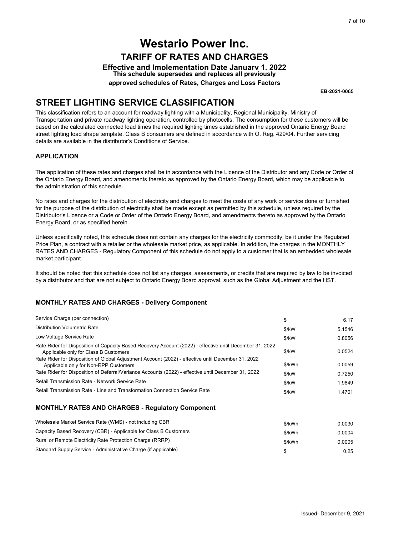### **STREET LIGHTING SERVICE CLASSIFICATION**

#### **APPLICATION**

#### **MONTHLY RATES AND CHARGES - Delivery Component**

|                                                                                                                                                                                                                                                                                                                                                                                                                                                                                                                                                                                    |              | 7 of 10                 |
|------------------------------------------------------------------------------------------------------------------------------------------------------------------------------------------------------------------------------------------------------------------------------------------------------------------------------------------------------------------------------------------------------------------------------------------------------------------------------------------------------------------------------------------------------------------------------------|--------------|-------------------------|
| <b>Westario Power Inc.</b>                                                                                                                                                                                                                                                                                                                                                                                                                                                                                                                                                         |              |                         |
|                                                                                                                                                                                                                                                                                                                                                                                                                                                                                                                                                                                    |              |                         |
| <b>TARIFF OF RATES AND CHARGES</b>                                                                                                                                                                                                                                                                                                                                                                                                                                                                                                                                                 |              |                         |
| <b>Effective and Implementation Date January 1. 2022</b><br>This schedule supersedes and replaces all previously                                                                                                                                                                                                                                                                                                                                                                                                                                                                   |              |                         |
| approved schedules of Rates, Charges and Loss Factors                                                                                                                                                                                                                                                                                                                                                                                                                                                                                                                              |              |                         |
|                                                                                                                                                                                                                                                                                                                                                                                                                                                                                                                                                                                    |              | EB-2021-0065            |
| <b>STREET LIGHTING SERVICE CLASSIFICATION</b>                                                                                                                                                                                                                                                                                                                                                                                                                                                                                                                                      |              |                         |
| This classification refers to an account for roadway lighting with a Municipality, Regional Municipality, Ministry of<br>Transportation and private roadway lighting operation, controlled by photocells. The consumption for these customers will be<br>based on the calculated connected load times the required lighting times established in the approved Ontario Energy Board<br>street lighting load shape template. Class B consumers are defined in accordance with O. Reg. 429/04. Further servicing<br>details are available in the distributor's Conditions of Service. |              |                         |
| <b>APPLICATION</b>                                                                                                                                                                                                                                                                                                                                                                                                                                                                                                                                                                 |              |                         |
| The application of these rates and charges shall be in accordance with the Licence of the Distributor and any Code or Order of<br>the Ontario Energy Board, and amendments thereto as approved by the Ontario Energy Board, which may be applicable to<br>the administration of this schedule.                                                                                                                                                                                                                                                                                     |              |                         |
| No rates and charges for the distribution of electricity and charges to meet the costs of any work or service done or furnished<br>for the purpose of the distribution of electricity shall be made except as permitted by this schedule, unless required by the<br>Distributor's Licence or a Code or Order of the Ontario Energy Board, and amendments thereto as approved by the Ontario<br>Energy Board, or as specified herein.                                                                                                                                               |              |                         |
| Unless specifically noted, this schedule does not contain any charges for the electricity commodity, be it under the Regulated<br>Price Plan, a contract with a retailer or the wholesale market price, as applicable. In addition, the charges in the MONTHLY<br>RATES AND CHARGES - Regulatory Component of this schedule do not apply to a customer that is an embedded wholesale<br>market participant.                                                                                                                                                                        |              |                         |
| It should be noted that this schedule does not list any charges, assessments, or credits that are required by law to be invoiced<br>by a distributor and that are not subject to Ontario Energy Board approval, such as the Global Adjustment and the HST.                                                                                                                                                                                                                                                                                                                         |              |                         |
| <b>MONTHLY RATES AND CHARGES - Delivery Component</b>                                                                                                                                                                                                                                                                                                                                                                                                                                                                                                                              |              |                         |
| Service Charge (per connection)                                                                                                                                                                                                                                                                                                                                                                                                                                                                                                                                                    | \$           | 6.17                    |
| <b>Distribution Volumetric Rate</b>                                                                                                                                                                                                                                                                                                                                                                                                                                                                                                                                                | \$/kW        | 5.1546                  |
| Low Voltage Service Rate                                                                                                                                                                                                                                                                                                                                                                                                                                                                                                                                                           | \$/kW        | 0.8056                  |
| Rate Rider for Disposition of Capacity Based Recovery Account (2022) - effective until December 31, 2022                                                                                                                                                                                                                                                                                                                                                                                                                                                                           |              |                         |
| Applicable only for Class B Customers<br>Rate Rider for Disposition of Global Adjustment Account (2022) - effective until December 31, 2022                                                                                                                                                                                                                                                                                                                                                                                                                                        | \$/kW        | 0.0524                  |
| Applicable only for Non-RPP Customers                                                                                                                                                                                                                                                                                                                                                                                                                                                                                                                                              | \$/kWh       | 0.0059                  |
| Rate Rider for Disposition of Deferral/Variance Accounts (2022) - effective until December 31, 2022                                                                                                                                                                                                                                                                                                                                                                                                                                                                                | \$/kW        | 0.7250                  |
| Retail Transmission Rate - Network Service Rate                                                                                                                                                                                                                                                                                                                                                                                                                                                                                                                                    | \$/kW        | 1.9849                  |
| Retail Transmission Rate - Line and Transformation Connection Service Rate                                                                                                                                                                                                                                                                                                                                                                                                                                                                                                         | \$/kW        | 1.4701                  |
| <b>MONTHLY RATES AND CHARGES - Regulatory Component</b>                                                                                                                                                                                                                                                                                                                                                                                                                                                                                                                            |              |                         |
| Wholesale Market Service Rate (WMS) - not including CBR                                                                                                                                                                                                                                                                                                                                                                                                                                                                                                                            |              |                         |
| Capacity Based Recovery (CBR) - Applicable for Class B Customers                                                                                                                                                                                                                                                                                                                                                                                                                                                                                                                   | \$/kWh       | 0.0030                  |
| Rural or Remote Electricity Rate Protection Charge (RRRP)                                                                                                                                                                                                                                                                                                                                                                                                                                                                                                                          | \$/kWh       | 0.0004<br>0.0005        |
| Standard Supply Service - Administrative Charge (if applicable)                                                                                                                                                                                                                                                                                                                                                                                                                                                                                                                    | \$/kWh<br>\$ | 0.25                    |
|                                                                                                                                                                                                                                                                                                                                                                                                                                                                                                                                                                                    |              |                         |
|                                                                                                                                                                                                                                                                                                                                                                                                                                                                                                                                                                                    |              |                         |
|                                                                                                                                                                                                                                                                                                                                                                                                                                                                                                                                                                                    |              |                         |
|                                                                                                                                                                                                                                                                                                                                                                                                                                                                                                                                                                                    |              |                         |
|                                                                                                                                                                                                                                                                                                                                                                                                                                                                                                                                                                                    |              |                         |
|                                                                                                                                                                                                                                                                                                                                                                                                                                                                                                                                                                                    |              | Issued-December 9, 2021 |

| Wholesale Market Service Rate (WMS) - not including CBR          | \$/kWh | 0.0030 |
|------------------------------------------------------------------|--------|--------|
| Capacity Based Recovery (CBR) - Applicable for Class B Customers | \$/kWh | 0.0004 |
| Rural or Remote Electricity Rate Protection Charge (RRRP)        | \$/kWh | 0.0005 |
| Standard Supply Service - Administrative Charge (if applicable)  |        | 0.25   |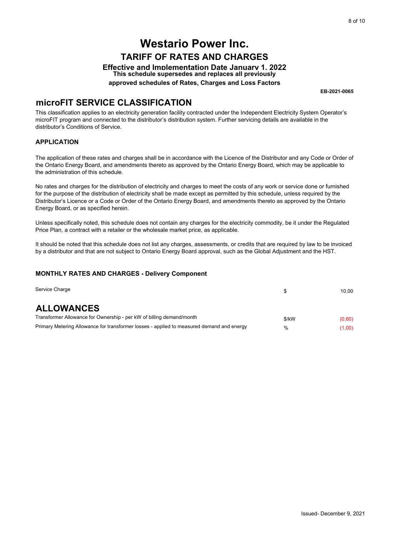### **microFIT SERVICE CLASSIFICATION**

#### **APPLICATION**

#### **MONTHLY RATES AND CHARGES - Delivery Component**

|                                                                                                                                                                                                                                                                                                                                                                                                                                      |       | 8 of 10                  |
|--------------------------------------------------------------------------------------------------------------------------------------------------------------------------------------------------------------------------------------------------------------------------------------------------------------------------------------------------------------------------------------------------------------------------------------|-------|--------------------------|
|                                                                                                                                                                                                                                                                                                                                                                                                                                      |       |                          |
| <b>Westario Power Inc.</b>                                                                                                                                                                                                                                                                                                                                                                                                           |       |                          |
| <b>TARIFF OF RATES AND CHARGES</b>                                                                                                                                                                                                                                                                                                                                                                                                   |       |                          |
| <b>Effective and Implementation Date January 1. 2022</b><br>This schedule supersedes and replaces all previously                                                                                                                                                                                                                                                                                                                     |       |                          |
| approved schedules of Rates, Charges and Loss Factors                                                                                                                                                                                                                                                                                                                                                                                |       |                          |
|                                                                                                                                                                                                                                                                                                                                                                                                                                      |       | EB-2021-0065             |
| <b>MICROFIT SERVICE CLASSIFICATION</b><br>This classification applies to an electricity generation facility contracted under the Independent Electricity System Operator's<br>microFIT program and connected to the distributor's distribution system. Further servicing details are available in the<br>distributor's Conditions of Service.                                                                                        |       |                          |
| <b>APPLICATION</b>                                                                                                                                                                                                                                                                                                                                                                                                                   |       |                          |
| The application of these rates and charges shall be in accordance with the Licence of the Distributor and any Code or Order of<br>the Ontario Energy Board, and amendments thereto as approved by the Ontario Energy Board, which may be applicable to<br>the administration of this schedule.                                                                                                                                       |       |                          |
| No rates and charges for the distribution of electricity and charges to meet the costs of any work or service done or furnished<br>for the purpose of the distribution of electricity shall be made except as permitted by this schedule, unless required by the<br>Distributor's Licence or a Code or Order of the Ontario Energy Board, and amendments thereto as approved by the Ontario<br>Energy Board, or as specified herein. |       |                          |
| Unless specifically noted, this schedule does not contain any charges for the electricity commodity, be it under the Regulated<br>Price Plan, a contract with a retailer or the wholesale market price, as applicable.                                                                                                                                                                                                               |       |                          |
| It should be noted that this schedule does not list any charges, assessments, or credits that are required by law to be invoiced<br>by a distributor and that are not subject to Ontario Energy Board approval, such as the Global Adjustment and the HST.                                                                                                                                                                           |       |                          |
| <b>MONTHLY RATES AND CHARGES - Delivery Component</b>                                                                                                                                                                                                                                                                                                                                                                                |       |                          |
| Service Charge                                                                                                                                                                                                                                                                                                                                                                                                                       | \$    | 10.00                    |
| <b>ALLOWANCES</b>                                                                                                                                                                                                                                                                                                                                                                                                                    |       |                          |
| Transformer Allowance for Ownership - per kW of billing demand/month                                                                                                                                                                                                                                                                                                                                                                 | \$/kW | (0.60)                   |
| Primary Metering Allowance for transformer losses - applied to measured demand and energy                                                                                                                                                                                                                                                                                                                                            | %     | (1.00)                   |
|                                                                                                                                                                                                                                                                                                                                                                                                                                      |       |                          |
|                                                                                                                                                                                                                                                                                                                                                                                                                                      |       |                          |
|                                                                                                                                                                                                                                                                                                                                                                                                                                      |       |                          |
|                                                                                                                                                                                                                                                                                                                                                                                                                                      |       |                          |
|                                                                                                                                                                                                                                                                                                                                                                                                                                      |       |                          |
|                                                                                                                                                                                                                                                                                                                                                                                                                                      |       |                          |
|                                                                                                                                                                                                                                                                                                                                                                                                                                      |       |                          |
|                                                                                                                                                                                                                                                                                                                                                                                                                                      |       |                          |
|                                                                                                                                                                                                                                                                                                                                                                                                                                      |       |                          |
|                                                                                                                                                                                                                                                                                                                                                                                                                                      |       |                          |
|                                                                                                                                                                                                                                                                                                                                                                                                                                      |       |                          |
|                                                                                                                                                                                                                                                                                                                                                                                                                                      |       |                          |
|                                                                                                                                                                                                                                                                                                                                                                                                                                      |       |                          |
|                                                                                                                                                                                                                                                                                                                                                                                                                                      |       |                          |
|                                                                                                                                                                                                                                                                                                                                                                                                                                      |       |                          |
|                                                                                                                                                                                                                                                                                                                                                                                                                                      |       |                          |
|                                                                                                                                                                                                                                                                                                                                                                                                                                      |       |                          |
|                                                                                                                                                                                                                                                                                                                                                                                                                                      |       | Issued- December 9, 2021 |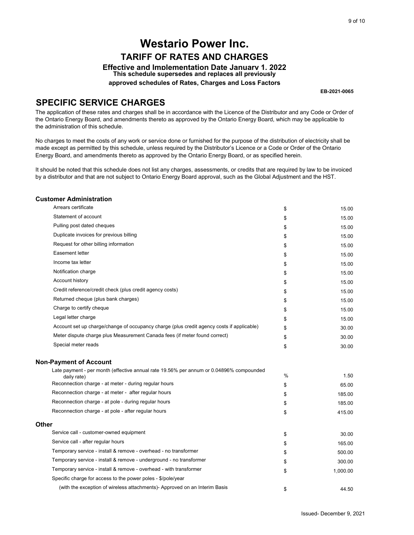### **SPECIFIC SERVICE CHARGES**

|       | <b>Westario Power Inc.</b>                                                                                                                                                                                                                                                                                                                                              |          |                 |
|-------|-------------------------------------------------------------------------------------------------------------------------------------------------------------------------------------------------------------------------------------------------------------------------------------------------------------------------------------------------------------------------|----------|-----------------|
|       |                                                                                                                                                                                                                                                                                                                                                                         |          |                 |
|       | <b>TARIFF OF RATES AND CHARGES</b>                                                                                                                                                                                                                                                                                                                                      |          |                 |
|       | <b>Effective and Implementation Date January 1, 2022</b><br>This schedule supersedes and replaces all previously                                                                                                                                                                                                                                                        |          |                 |
|       | approved schedules of Rates, Charges and Loss Factors                                                                                                                                                                                                                                                                                                                   |          |                 |
|       |                                                                                                                                                                                                                                                                                                                                                                         |          | EB-2021-0065    |
|       | <b>SPECIFIC SERVICE CHARGES</b>                                                                                                                                                                                                                                                                                                                                         |          |                 |
|       | The application of these rates and charges shall be in accordance with the Licence of the Distributor and any Code or Order of<br>the Ontario Energy Board, and amendments thereto as approved by the Ontario Energy Board, which may be applicable to<br>the administration of this schedule.                                                                          |          |                 |
|       | No charges to meet the costs of any work or service done or furnished for the purpose of the distribution of electricity shall be<br>made except as permitted by this schedule, unless required by the Distributor's Licence or a Code or Order of the Ontario<br>Energy Board, and amendments thereto as approved by the Ontario Energy Board, or as specified herein. |          |                 |
|       | It should be noted that this schedule does not list any charges, assessments, or credits that are required by law to be invoiced<br>by a distributor and that are not subject to Ontario Energy Board approval, such as the Global Adjustment and the HST.                                                                                                              |          |                 |
|       | <b>Customer Administration</b>                                                                                                                                                                                                                                                                                                                                          |          |                 |
|       | Arrears certificate                                                                                                                                                                                                                                                                                                                                                     | \$       | 15.00           |
|       | Statement of account                                                                                                                                                                                                                                                                                                                                                    | \$       | 15.00           |
|       | Pulling post dated cheques                                                                                                                                                                                                                                                                                                                                              | \$       | 15.00           |
|       | Duplicate invoices for previous billing                                                                                                                                                                                                                                                                                                                                 | \$       | 15.00           |
|       | Request for other billing information                                                                                                                                                                                                                                                                                                                                   | \$       | 15.00           |
|       | Easement letter                                                                                                                                                                                                                                                                                                                                                         | \$       | 15.00           |
|       | Income tax letter                                                                                                                                                                                                                                                                                                                                                       | \$       | 15.00           |
|       | Notification charge                                                                                                                                                                                                                                                                                                                                                     | \$       | 15.00           |
|       | Account history                                                                                                                                                                                                                                                                                                                                                         | \$       | 15.00           |
|       | Credit reference/credit check (plus credit agency costs)                                                                                                                                                                                                                                                                                                                | \$       | 15.00           |
|       | Returned cheque (plus bank charges)                                                                                                                                                                                                                                                                                                                                     | \$       | 15.00           |
|       | Charge to certify cheque                                                                                                                                                                                                                                                                                                                                                | \$       | 15.00           |
|       | Legal letter charge                                                                                                                                                                                                                                                                                                                                                     | \$       | 15.00           |
|       | Account set up charge/change of occupancy charge (plus credit agency costs if applicable)                                                                                                                                                                                                                                                                               | \$       | 30.00           |
|       | Meter dispute charge plus Measurement Canada fees (if meter found correct)                                                                                                                                                                                                                                                                                              | \$       | 30.00           |
|       | Special meter reads                                                                                                                                                                                                                                                                                                                                                     | \$       | 30.00           |
|       | <b>Non-Payment of Account</b>                                                                                                                                                                                                                                                                                                                                           |          |                 |
|       | Late payment - per month (effective annual rate 19.56% per annum or 0.04896% compounded                                                                                                                                                                                                                                                                                 |          |                 |
|       | daily rate)<br>Reconnection charge - at meter - during regular hours                                                                                                                                                                                                                                                                                                    | %        | 1.50            |
|       | Reconnection charge - at meter - after regular hours                                                                                                                                                                                                                                                                                                                    | \$       | 65.00<br>185.00 |
|       | Reconnection charge - at pole - during regular hours                                                                                                                                                                                                                                                                                                                    | \$       | 185.00          |
|       | Reconnection charge - at pole - after regular hours                                                                                                                                                                                                                                                                                                                     | \$<br>\$ | 415.00          |
| Other |                                                                                                                                                                                                                                                                                                                                                                         |          |                 |
|       | Service call - customer-owned equipment                                                                                                                                                                                                                                                                                                                                 | \$       | 30.00           |
|       | Service call - after regular hours                                                                                                                                                                                                                                                                                                                                      | \$       | 165.00          |
|       | Temporary service - install & remove - overhead - no transformer                                                                                                                                                                                                                                                                                                        | \$       | 500.00          |
|       | Temporary service - install & remove - underground - no transformer                                                                                                                                                                                                                                                                                                     | \$       | 300.00          |
|       | Temporary service - install & remove - overhead - with transformer                                                                                                                                                                                                                                                                                                      | \$       | 1,000.00        |
|       | Specific charge for access to the power poles - \$/pole/year                                                                                                                                                                                                                                                                                                            |          |                 |
|       |                                                                                                                                                                                                                                                                                                                                                                         |          |                 |